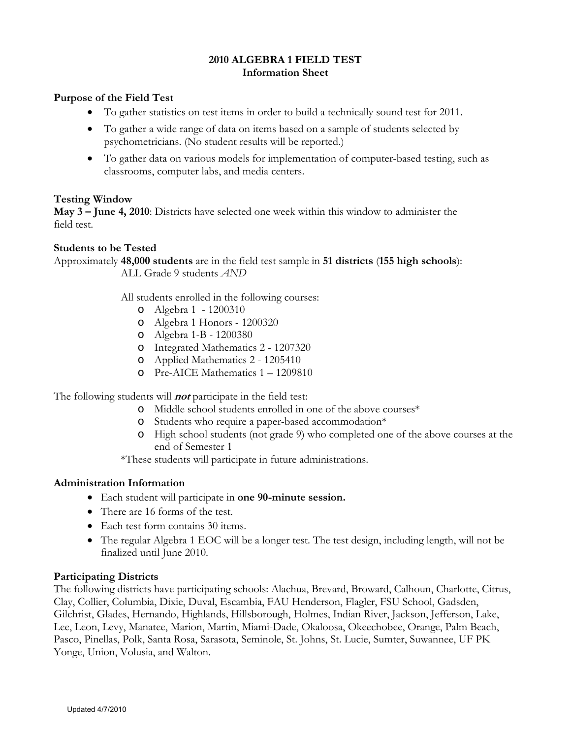# **2010 ALGEBRA 1 FIELD TEST Information Sheet**

# **Purpose of the Field Test**

- To gather statistics on test items in order to build a technically sound test for 2011.
- To gather a wide range of data on items based on a sample of students selected by psychometricians. (No student results will be reported.)
- To gather data on various models for implementation of computer-based testing, such as classrooms, computer labs, and media centers.

# **Testing Window**

**May 3 – June 4, 2010**: Districts have selected one week within this window to administer the field test.

# **Students to be Tested**

Approximately **48,000 students** are in the field test sample in **51 districts** (**155 high schools**): ALL Grade 9 students *AND*

All students enrolled in the following courses:

- o Algebra 1 1200310
- o Algebra 1 Honors 1200320
- o Algebra 1-B 1200380
- o Integrated Mathematics 2 1207320
- o Applied Mathematics 2 1205410
- o Pre-AICE Mathematics 1 1209810

The following students will **not** participate in the field test:

- o Middle school students enrolled in one of the above courses\*
- o Students who require a paper-based accommodation\*
- o High school students (not grade 9) who completed one of the above courses at the end of Semester 1
- \*These students will participate in future administrations.

### **Administration Information**

- Each student will participate in **one 90-minute session.**
- There are 16 forms of the test.
- Each test form contains 30 items.
- The regular Algebra 1 EOC will be a longer test. The test design, including length, will not be finalized until June 2010.

### **Participating Districts**

The following districts have participating schools: Alachua, Brevard, Broward, Calhoun, Charlotte, Citrus, Clay, Collier, Columbia, Dixie, Duval, Escambia, FAU Henderson, Flagler, FSU School, Gadsden, Gilchrist, Glades, Hernando, Highlands, Hillsborough, Holmes, Indian River, Jackson, Jefferson, Lake, Lee, Leon, Levy, Manatee, Marion, Martin, Miami-Dade, Okaloosa, Okeechobee, Orange, Palm Beach, Pasco, Pinellas, Polk, Santa Rosa, Sarasota, Seminole, St. Johns, St. Lucie, Sumter, Suwannee, UF PK Yonge, Union, Volusia, and Walton.